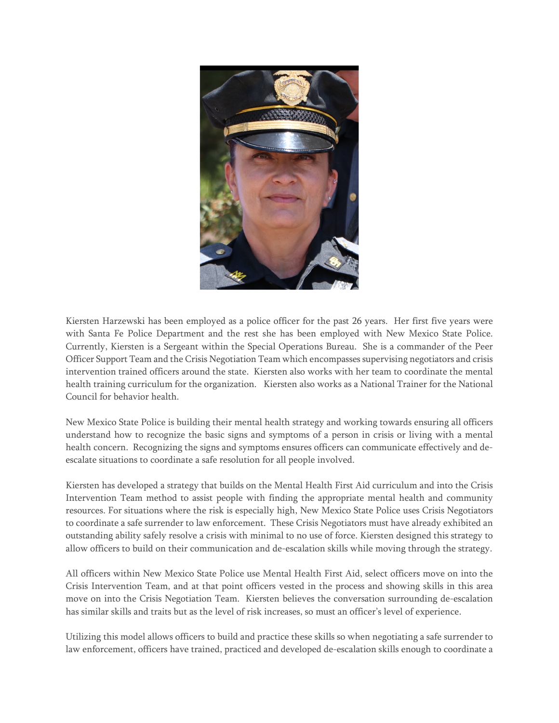

Kiersten Harzewski has been employed as a police officer for the past 26 years. Her first five years were with Santa Fe Police Department and the rest she has been employed with New Mexico State Police. Currently, Kiersten is a Sergeant within the Special Operations Bureau. She is a commander of the Peer Officer Support Team and the Crisis Negotiation Team which encompasses supervising negotiators and crisis intervention trained officers around the state. Kiersten also works with her team to coordinate the mental health training curriculum for the organization. Kiersten also works as a National Trainer for the National Council for behavior health.

New Mexico State Police is building their mental health strategy and working towards ensuring all officers understand how to recognize the basic signs and symptoms of a person in crisis or living with a mental health concern. Recognizing the signs and symptoms ensures officers can communicate effectively and deescalate situations to coordinate a safe resolution for all people involved.

Kiersten has developed a strategy that builds on the Mental Health First Aid curriculum and into the Crisis Intervention Team method to assist people with finding the appropriate mental health and community resources. For situations where the risk is especially high, New Mexico State Police uses Crisis Negotiators to coordinate a safe surrender to law enforcement. These Crisis Negotiators must have already exhibited an outstanding ability safely resolve a crisis with minimal to no use of force. Kiersten designed this strategy to allow officers to build on their communication and de-escalation skills while moving through the strategy.

All officers within New Mexico State Police use Mental Health First Aid, select officers move on into the Crisis Intervention Team, and at that point officers vested in the process and showing skills in this area move on into the Crisis Negotiation Team. Kiersten believes the conversation surrounding de-escalation has similar skills and traits but as the level of risk increases, so must an officer's level of experience.

Utilizing this model allows officers to build and practice these skills so when negotiating a safe surrender to law enforcement, officers have trained, practiced and developed de-escalation skills enough to coordinate a